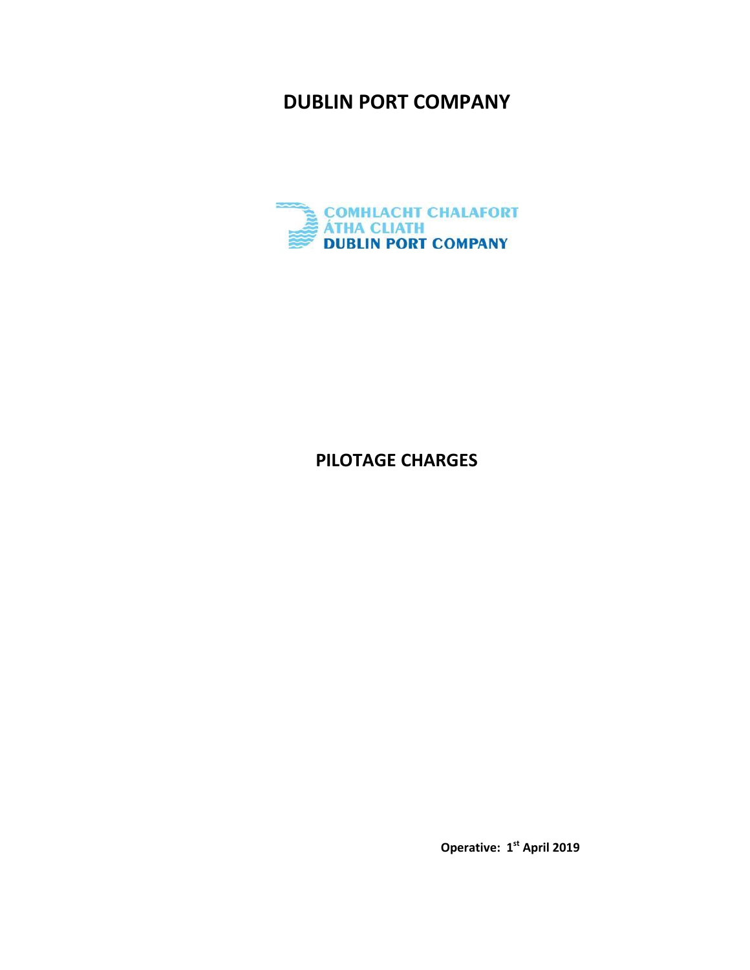# **DUBLIN PORT COMPANY**



# **PILOTAGE CHARGES**

**Operative: 1 st April 2019**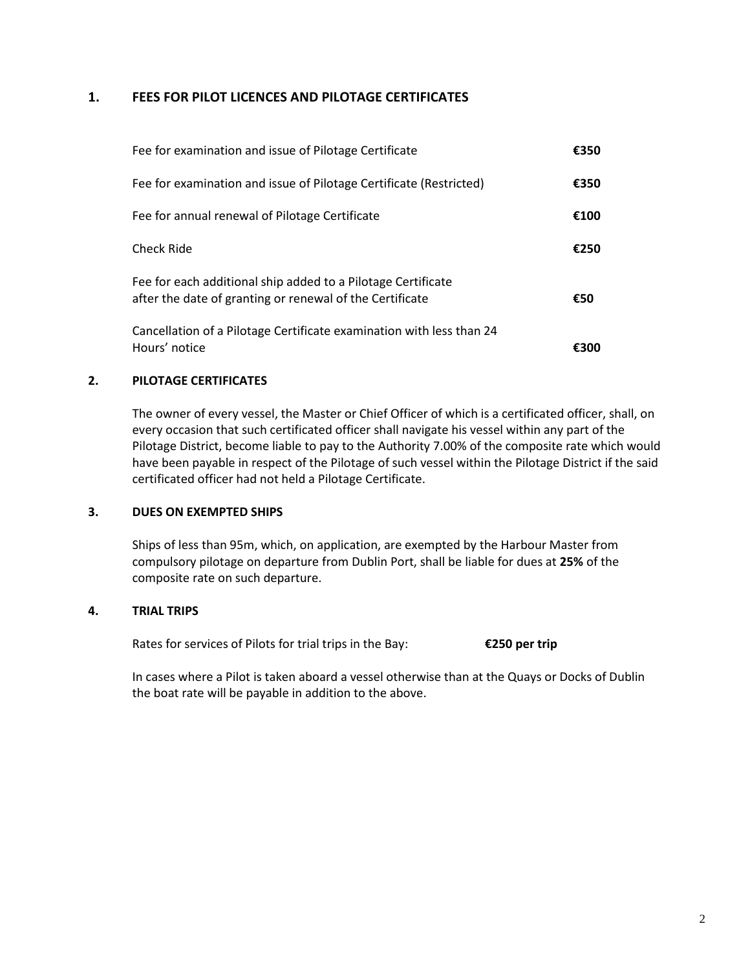## **1. FEES FOR PILOT LICENCES AND PILOTAGE CERTIFICATES**

| Fee for examination and issue of Pilotage Certificate                                                                    | €350 |
|--------------------------------------------------------------------------------------------------------------------------|------|
| Fee for examination and issue of Pilotage Certificate (Restricted)                                                       | €350 |
| Fee for annual renewal of Pilotage Certificate                                                                           | €100 |
| <b>Check Ride</b>                                                                                                        | €250 |
| Fee for each additional ship added to a Pilotage Certificate<br>after the date of granting or renewal of the Certificate | €50  |
| Cancellation of a Pilotage Certificate examination with less than 24<br>Hours' notice                                    | €300 |

### **2. PILOTAGE CERTIFICATES**

The owner of every vessel, the Master or Chief Officer of which is a certificated officer, shall, on every occasion that such certificated officer shall navigate his vessel within any part of the Pilotage District, become liable to pay to the Authority 7.00% of the composite rate which would have been payable in respect of the Pilotage of such vessel within the Pilotage District if the said certificated officer had not held a Pilotage Certificate.

#### **3. DUES ON EXEMPTED SHIPS**

Ships of less than 95m, which, on application, are exempted by the Harbour Master from compulsory pilotage on departure from Dublin Port, shall be liable for dues at **25%** of the composite rate on such departure.

#### **4. TRIAL TRIPS**

Rates for services of Pilots for trial trips in the Bay: **€250 per trip**

In cases where a Pilot is taken aboard a vessel otherwise than at the Quays or Docks of Dublin the boat rate will be payable in addition to the above.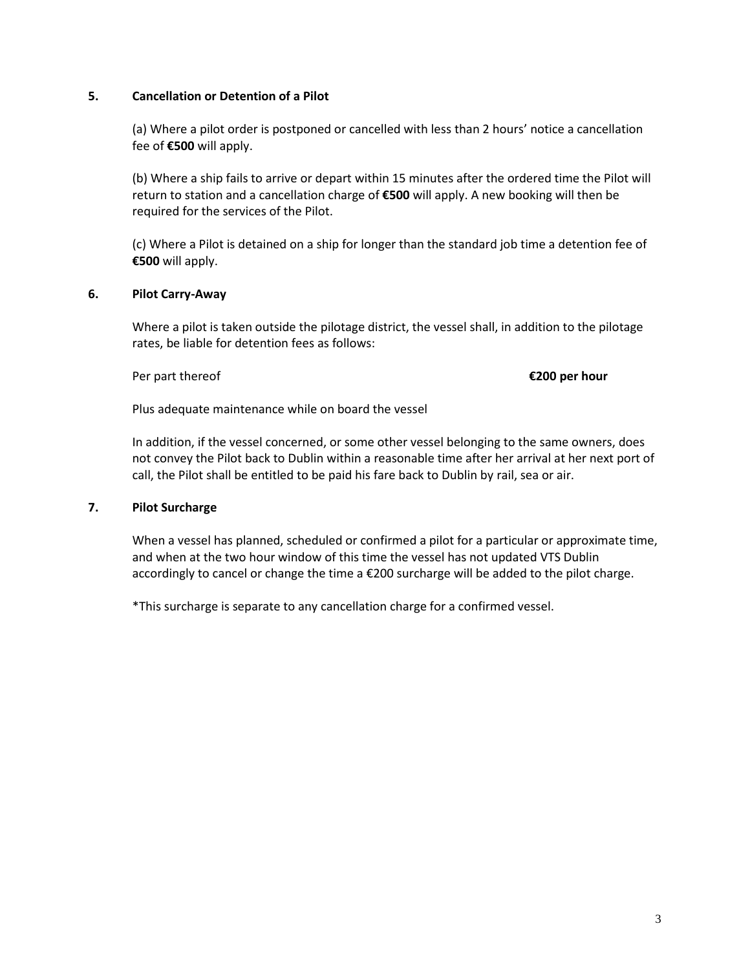#### **5. Cancellation or Detention of a Pilot**

(a) Where a pilot order is postponed or cancelled with less than 2 hours' notice a cancellation fee of **€500** will apply.

(b) Where a ship fails to arrive or depart within 15 minutes after the ordered time the Pilot will return to station and a cancellation charge of **€500** will apply. A new booking will then be required for the services of the Pilot.

(c) Where a Pilot is detained on a ship for longer than the standard job time a detention fee of **€500** will apply.

### **6. Pilot Carry-Away**

Where a pilot is taken outside the pilotage district, the vessel shall, in addition to the pilotage rates, be liable for detention fees as follows:

#### Per part thereof **€200 per hour**

Plus adequate maintenance while on board the vessel

 In addition, if the vessel concerned, or some other vessel belonging to the same owners, does not convey the Pilot back to Dublin within a reasonable time after her arrival at her next port of call, the Pilot shall be entitled to be paid his fare back to Dublin by rail, sea or air.

#### **7. Pilot Surcharge**

When a vessel has planned, scheduled or confirmed a pilot for a particular or approximate time, and when at the two hour window of this time the vessel has not updated VTS Dublin accordingly to cancel or change the time a €200 surcharge will be added to the pilot charge.

\*This surcharge is separate to any cancellation charge for a confirmed vessel.